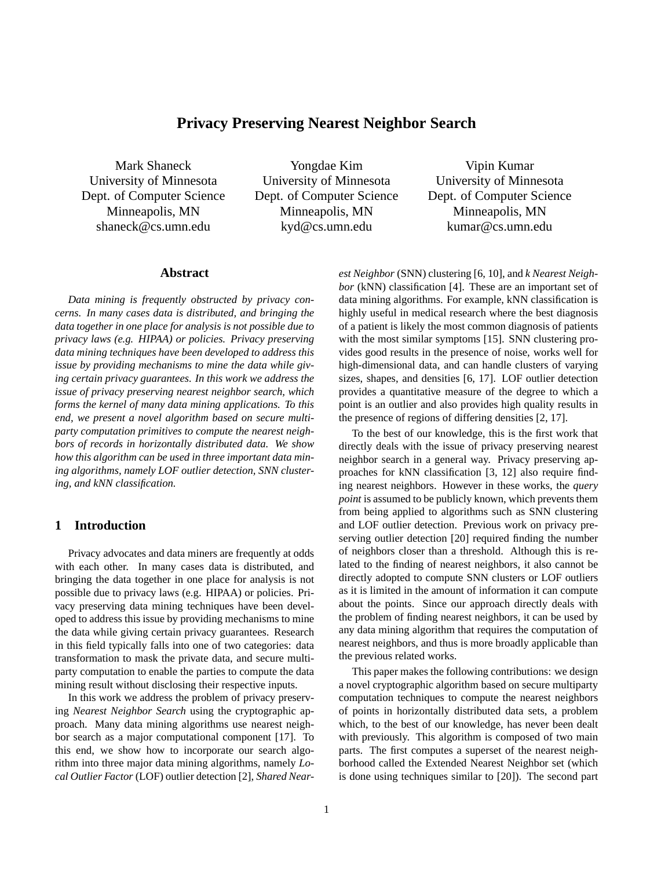# **Privacy Preserving Nearest Neighbor Search**

Mark Shaneck University of Minnesota Dept. of Computer Science Minneapolis, MN shaneck@cs.umn.edu

Yongdae Kim University of Minnesota Dept. of Computer Science Minneapolis, MN kyd@cs.umn.edu

Vipin Kumar University of Minnesota Dept. of Computer Science Minneapolis, MN kumar@cs.umn.edu

### **Abstract**

*Data mining is frequently obstructed by privacy concerns. In many cases data is distributed, and bringing the data together in one place for analysis is not possible due to privacy laws (e.g. HIPAA) or policies. Privacy preserving data mining techniques have been developed to address this issue by providing mechanisms to mine the data while giving certain privacy guarantees. In this work we address the issue of privacy preserving nearest neighbor search, which forms the kernel of many data mining applications. To this end, we present a novel algorithm based on secure multiparty computation primitives to compute the nearest neighbors of records in horizontally distributed data. We show how this algorithm can be used in three important data mining algorithms, namely LOF outlier detection, SNN clustering, and kNN classification.*

### **1 Introduction**

Privacy advocates and data miners are frequently at odds with each other. In many cases data is distributed, and bringing the data together in one place for analysis is not possible due to privacy laws (e.g. HIPAA) or policies. Privacy preserving data mining techniques have been developed to address this issue by providing mechanisms to mine the data while giving certain privacy guarantees. Research in this field typically falls into one of two categories: data transformation to mask the private data, and secure multiparty computation to enable the parties to compute the data mining result without disclosing their respective inputs.

In this work we address the problem of privacy preserving *Nearest Neighbor Search* using the cryptographic approach. Many data mining algorithms use nearest neighbor search as a major computational component [17]. To this end, we show how to incorporate our search algorithm into three major data mining algorithms, namely *Local Outlier Factor* (LOF) outlier detection [2], *Shared Near-* *est Neighbor* (SNN) clustering [6, 10], and *k Nearest Neighbor* (kNN) classification [4]. These are an important set of data mining algorithms. For example, kNN classification is highly useful in medical research where the best diagnosis of a patient is likely the most common diagnosis of patients with the most similar symptoms [15]. SNN clustering provides good results in the presence of noise, works well for high-dimensional data, and can handle clusters of varying sizes, shapes, and densities [6, 17]. LOF outlier detection provides a quantitative measure of the degree to which a point is an outlier and also provides high quality results in the presence of regions of differing densities [2, 17].

To the best of our knowledge, this is the first work that directly deals with the issue of privacy preserving nearest neighbor search in a general way. Privacy preserving approaches for kNN classification [3, 12] also require finding nearest neighbors. However in these works, the *query point* is assumed to be publicly known, which prevents them from being applied to algorithms such as SNN clustering and LOF outlier detection. Previous work on privacy preserving outlier detection [20] required finding the number of neighbors closer than a threshold. Although this is related to the finding of nearest neighbors, it also cannot be directly adopted to compute SNN clusters or LOF outliers as it is limited in the amount of information it can compute about the points. Since our approach directly deals with the problem of finding nearest neighbors, it can be used by any data mining algorithm that requires the computation of nearest neighbors, and thus is more broadly applicable than the previous related works.

This paper makes the following contributions: we design a novel cryptographic algorithm based on secure multiparty computation techniques to compute the nearest neighbors of points in horizontally distributed data sets, a problem which, to the best of our knowledge, has never been dealt with previously. This algorithm is composed of two main parts. The first computes a superset of the nearest neighborhood called the Extended Nearest Neighbor set (which is done using techniques similar to [20]). The second part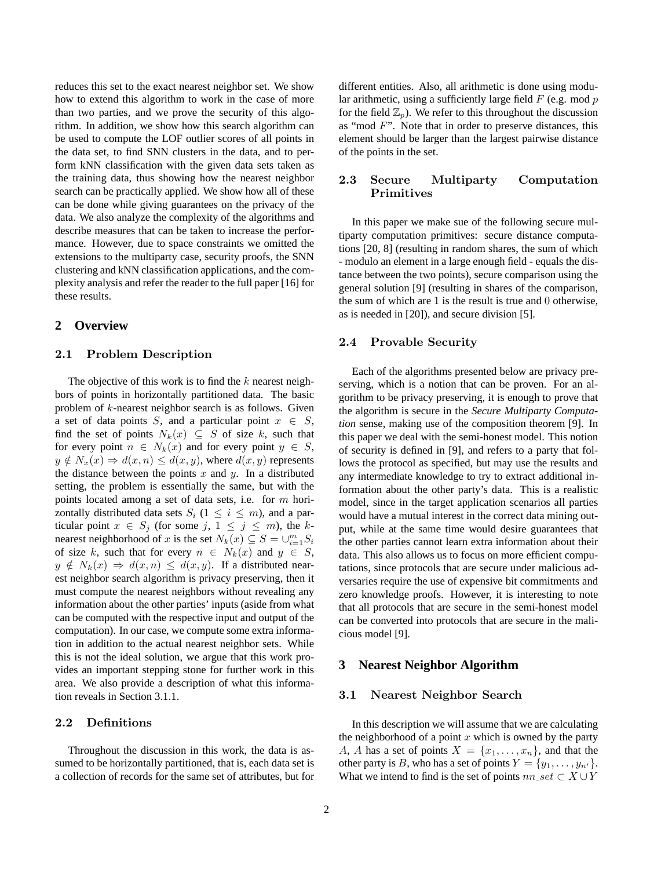reduces this set to the exact nearest neighbor set. We show how to extend this algorithm to work in the case of more than two parties, and we prove the security of this algorithm. In addition, we show how this search algorithm can be used to compute the LOF outlier scores of all points in the data set, to find SNN clusters in the data, and to perform kNN classification with the given data sets taken as the training data, thus showing how the nearest neighbor search can be practically applied. We show how all of these can be done while giving guarantees on the privacy of the data. We also analyze the complexity of the algorithms and describe measures that can be taken to increase the performance. However, due to space constraints we omitted the extensions to the multiparty case, security proofs, the SNN clustering and kNN classification applications, and the complexity analysis and refer the reader to the full paper [16] for these results.

## **2 Overview**

#### 2.1 Problem Description

The objective of this work is to find the  $k$  nearest neighbors of points in horizontally partitioned data. The basic problem of k-nearest neighbor search is as follows. Given a set of data points S, and a particular point  $x \in S$ , find the set of points  $N_k(x) \subseteq S$  of size k, such that for every point  $n \in N_k(x)$  and for every point  $y \in S$ ,  $y \notin N_x(x) \Rightarrow d(x, n) \leq d(x, y)$ , where  $d(x, y)$  represents the distance between the points  $x$  and  $y$ . In a distributed setting, the problem is essentially the same, but with the points located among a set of data sets, i.e. for m horizontally distributed data sets  $S_i$  ( $1 \leq i \leq m$ ), and a particular point  $x \in S_j$  (for some j,  $1 \le j \le m$ ), the knearest neighborhood of x is the set  $N_k(x) \subseteq S = \cup_{i=1}^m S_i$ of size k, such that for every  $n \in N_k(x)$  and  $y \in S$ ,  $y \notin N_k(x) \Rightarrow d(x, n) \leq d(x, y)$ . If a distributed nearest neighbor search algorithm is privacy preserving, then it must compute the nearest neighbors without revealing any information about the other parties' inputs (aside from what can be computed with the respective input and output of the computation). In our case, we compute some extra information in addition to the actual nearest neighbor sets. While this is not the ideal solution, we argue that this work provides an important stepping stone for further work in this area. We also provide a description of what this information reveals in Section 3.1.1.

### 2.2 Definitions

Throughout the discussion in this work, the data is assumed to be horizontally partitioned, that is, each data set is a collection of records for the same set of attributes, but for different entities. Also, all arithmetic is done using modular arithmetic, using a sufficiently large field  $F$  (e.g. mod  $p$ ) for the field  $\mathbb{Z}_p$ ). We refer to this throughout the discussion as "mod F". Note that in order to preserve distances, this element should be larger than the largest pairwise distance of the points in the set.

### 2.3 Secure Multiparty Computation Primitives

In this paper we make sue of the following secure multiparty computation primitives: secure distance computations [20, 8] (resulting in random shares, the sum of which - modulo an element in a large enough field - equals the distance between the two points), secure comparison using the general solution [9] (resulting in shares of the comparison, the sum of which are 1 is the result is true and 0 otherwise, as is needed in [20]), and secure division [5].

### 2.4 Provable Security

Each of the algorithms presented below are privacy preserving, which is a notion that can be proven. For an algorithm to be privacy preserving, it is enough to prove that the algorithm is secure in the *Secure Multiparty Computation* sense, making use of the composition theorem [9]. In this paper we deal with the semi-honest model. This notion of security is defined in [9], and refers to a party that follows the protocol as specified, but may use the results and any intermediate knowledge to try to extract additional information about the other party's data. This is a realistic model, since in the target application scenarios all parties would have a mutual interest in the correct data mining output, while at the same time would desire guarantees that the other parties cannot learn extra information about their data. This also allows us to focus on more efficient computations, since protocols that are secure under malicious adversaries require the use of expensive bit commitments and zero knowledge proofs. However, it is interesting to note that all protocols that are secure in the semi-honest model can be converted into protocols that are secure in the malicious model [9].

#### **3 Nearest Neighbor Algorithm**

#### 3.1 Nearest Neighbor Search

In this description we will assume that we are calculating the neighborhood of a point  $x$  which is owned by the party A, A has a set of points  $X = \{x_1, \ldots, x_n\}$ , and that the other party is B, who has a set of points  $Y = \{y_1, \ldots, y_{n'}\}.$ What we intend to find is the set of points  $nn\_set \subset X \cup Y$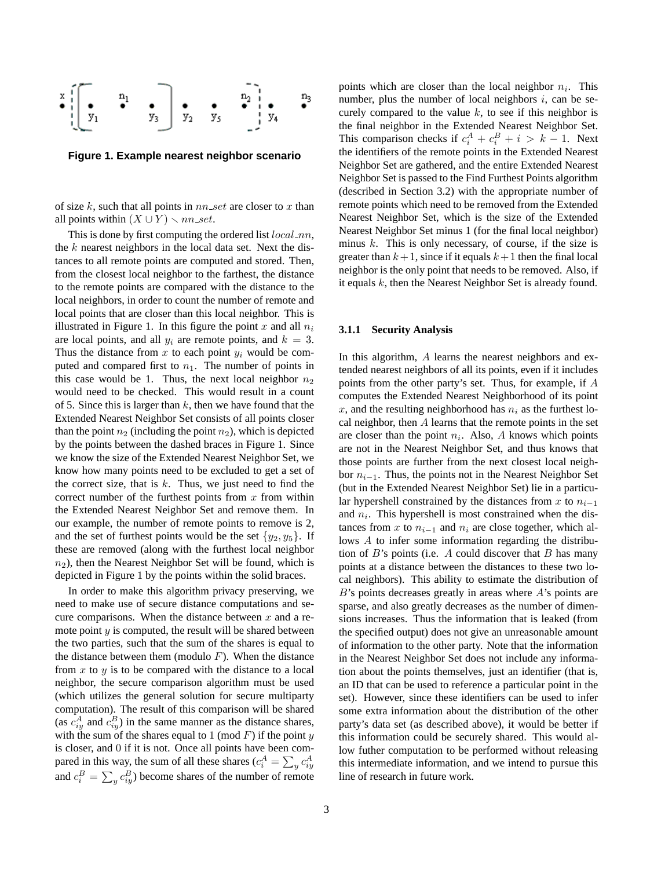

**Figure 1. Example nearest neighbor scenario**

of size  $k$ , such that all points in  $nn\_set$  are closer to  $x$  than all points within  $(X \cup Y) \setminus nn\_set$ .

This is done by first computing the ordered list  $local\_nn$ , the  $k$  nearest neighbors in the local data set. Next the distances to all remote points are computed and stored. Then, from the closest local neighbor to the farthest, the distance to the remote points are compared with the distance to the local neighbors, in order to count the number of remote and local points that are closer than this local neighbor. This is illustrated in Figure 1. In this figure the point x and all  $n_i$ are local points, and all  $y_i$  are remote points, and  $k = 3$ . Thus the distance from x to each point  $y_i$  would be computed and compared first to  $n_1$ . The number of points in this case would be 1. Thus, the next local neighbor  $n_2$ would need to be checked. This would result in a count of 5. Since this is larger than  $k$ , then we have found that the Extended Nearest Neighbor Set consists of all points closer than the point  $n_2$  (including the point  $n_2$ ), which is depicted by the points between the dashed braces in Figure 1. Since we know the size of the Extended Nearest Neighbor Set, we know how many points need to be excluded to get a set of the correct size, that is  $k$ . Thus, we just need to find the correct number of the furthest points from  $x$  from within the Extended Nearest Neighbor Set and remove them. In our example, the number of remote points to remove is 2, and the set of furthest points would be the set  $\{y_2, y_5\}$ . If these are removed (along with the furthest local neighbor  $n_2$ ), then the Nearest Neighbor Set will be found, which is depicted in Figure 1 by the points within the solid braces.

In order to make this algorithm privacy preserving, we need to make use of secure distance computations and secure comparisons. When the distance between  $x$  and a remote point  $y$  is computed, the result will be shared between the two parties, such that the sum of the shares is equal to the distance between them (modulo  $F$ ). When the distance from  $x$  to  $y$  is to be compared with the distance to a local neighbor, the secure comparison algorithm must be used (which utilizes the general solution for secure multiparty computation). The result of this comparison will be shared (as  $c_{iy}^A$  and  $c_{iy}^B$ ) in the same manner as the distance shares, with the sum of the shares equal to 1 (mod  $F$ ) if the point y is closer, and 0 if it is not. Once all points have been compared in this way, the sum of all these shares  $(c_i^A = \sum_y c_{iy}^A)$ and  $c_i^B = \sum_y c_{iy}^B$ ) become shares of the number of remote

points which are closer than the local neighbor  $n_i$ . This number, plus the number of local neighbors  $i$ , can be securely compared to the value  $k$ , to see if this neighbor is the final neighbor in the Extended Nearest Neighbor Set. This comparison checks if  $c_i^A + c_i^B + i > k - 1$ . Next the identifiers of the remote points in the Extended Nearest Neighbor Set are gathered, and the entire Extended Nearest Neighbor Set is passed to the Find Furthest Points algorithm (described in Section 3.2) with the appropriate number of remote points which need to be removed from the Extended Nearest Neighbor Set, which is the size of the Extended Nearest Neighbor Set minus 1 (for the final local neighbor) minus  $k$ . This is only necessary, of course, if the size is greater than  $k+1$ , since if it equals  $k+1$  then the final local neighbor is the only point that needs to be removed. Also, if it equals k, then the Nearest Neighbor Set is already found.

#### **3.1.1 Security Analysis**

In this algorithm, A learns the nearest neighbors and extended nearest neighbors of all its points, even if it includes points from the other party's set. Thus, for example, if A computes the Extended Nearest Neighborhood of its point x, and the resulting neighborhood has  $n_i$  as the furthest local neighbor, then  $A$  learns that the remote points in the set are closer than the point  $n_i$ . Also, A knows which points are not in the Nearest Neighbor Set, and thus knows that those points are further from the next closest local neighbor  $n_{i-1}$ . Thus, the points not in the Nearest Neighbor Set (but in the Extended Nearest Neighbor Set) lie in a particular hypershell constrained by the distances from x to  $n_{i-1}$ and  $n<sub>i</sub>$ . This hypershell is most constrained when the distances from x to  $n_{i-1}$  and  $n_i$  are close together, which allows A to infer some information regarding the distribution of  $B$ 's points (i.e.  $A$  could discover that  $B$  has many points at a distance between the distances to these two local neighbors). This ability to estimate the distribution of  $B$ 's points decreases greatly in areas where  $A$ 's points are sparse, and also greatly decreases as the number of dimensions increases. Thus the information that is leaked (from the specified output) does not give an unreasonable amount of information to the other party. Note that the information in the Nearest Neighbor Set does not include any information about the points themselves, just an identifier (that is, an ID that can be used to reference a particular point in the set). However, since these identifiers can be used to infer some extra information about the distribution of the other party's data set (as described above), it would be better if this information could be securely shared. This would allow futher computation to be performed without releasing this intermediate information, and we intend to pursue this line of research in future work.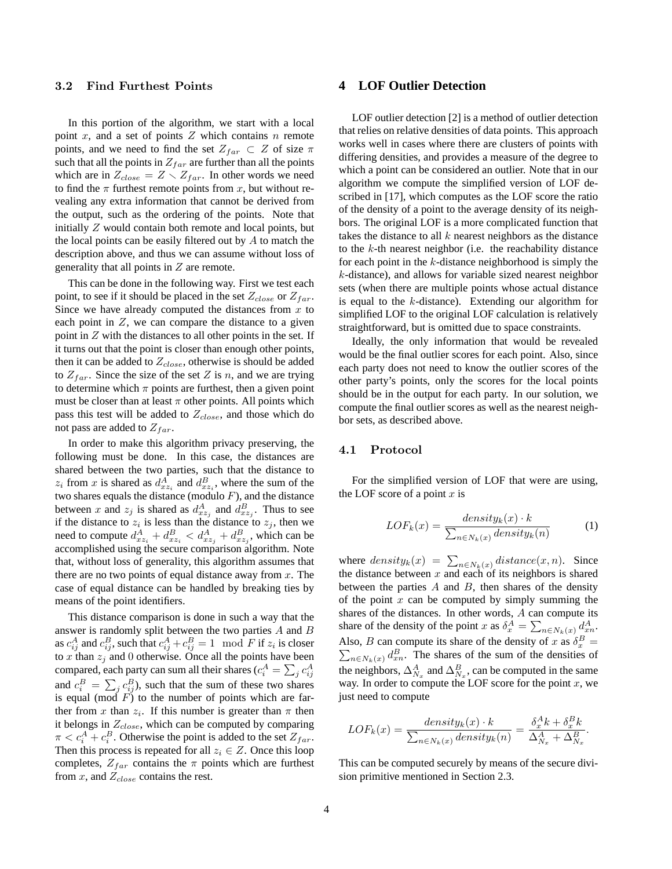### 3.2 Find Furthest Points

In this portion of the algorithm, we start with a local point x, and a set of points  $Z$  which contains  $n$  remote points, and we need to find the set  $Z_{far} \subset Z$  of size  $\pi$ such that all the points in  $Z_{far}$  are further than all the points which are in  $Z_{close} = Z \setminus Z_{far}$ . In other words we need to find the  $\pi$  furthest remote points from x, but without revealing any extra information that cannot be derived from the output, such as the ordering of the points. Note that initially  $Z$  would contain both remote and local points, but the local points can be easily filtered out by  $A$  to match the description above, and thus we can assume without loss of generality that all points in  $Z$  are remote.

This can be done in the following way. First we test each point, to see if it should be placed in the set  $Z_{close}$  or  $Z_{far}$ . Since we have already computed the distances from  $x$  to each point in  $Z$ , we can compare the distance to a given point in  $Z$  with the distances to all other points in the set. If it turns out that the point is closer than enough other points, then it can be added to  $Z_{close}$ , otherwise is should be added to  $Z_{far}$ . Since the size of the set Z is n, and we are trying to determine which  $\pi$  points are furthest, then a given point must be closer than at least  $\pi$  other points. All points which pass this test will be added to  $Z_{close}$ , and those which do not pass are added to  $Z_{far}$ .

In order to make this algorithm privacy preserving, the following must be done. In this case, the distances are shared between the two parties, such that the distance to  $z_i$  from x is shared as  $d_{xz_i}^A$  and  $d_{xz_i}^B$ , where the sum of the two shares equals the distance (modulo  $F$ ), and the distance between x and  $z_j$  is shared as  $d_{xz_j}^A$  and  $d_{xz_j}^B$ . Thus to see if the distance to  $z_i$  is less than the distance to  $z_j$ , then we need to compute  $d_{xz_i}^A + d_{xz_i}^B < d_{xz_j}^A + d_{xz_j}^B$ , which can be accomplished using the secure comparison algorithm. Note that, without loss of generality, this algorithm assumes that there are no two points of equal distance away from  $x$ . The case of equal distance can be handled by breaking ties by means of the point identifiers.

This distance comparison is done in such a way that the answer is randomly split between the two parties A and B as  $c_{ij}^A$  and  $c_{ij}^B$ , such that  $c_{ij}^A + c_{ij}^B = 1 \mod F$  if  $z_i$  is closer to x than  $z_j$  and 0 otherwise. Once all the points have been compared, each party can sum all their shares ( $c_i^A = \sum_j c_{ij}^A$ and  $c_i^B = \sum_j c_{ij}^B$ ), such that the sum of these two shares is equal (mod  $\overrightarrow{F}$ ) to the number of points which are farther from x than  $z_i$ . If this number is greater than  $\pi$  then it belongs in  $Z_{close}$ , which can be computed by comparing  $\pi < c_i^A + c_i^B$ . Otherwise the point is added to the set  $Z_{far}$ . Then this process is repeated for all  $z_i \in Z$ . Once this loop completes,  $Z_{far}$  contains the  $\pi$  points which are furthest from  $x$ , and  $Z_{close}$  contains the rest.

## **4 LOF Outlier Detection**

LOF outlier detection [2] is a method of outlier detection that relies on relative densities of data points. This approach works well in cases where there are clusters of points with differing densities, and provides a measure of the degree to which a point can be considered an outlier. Note that in our algorithm we compute the simplified version of LOF described in [17], which computes as the LOF score the ratio of the density of a point to the average density of its neighbors. The original LOF is a more complicated function that takes the distance to all  $k$  nearest neighbors as the distance to the  $k$ -th nearest neighbor (i.e. the reachability distance for each point in the  $k$ -distance neighborhood is simply the k-distance), and allows for variable sized nearest neighbor sets (when there are multiple points whose actual distance is equal to the  $k$ -distance). Extending our algorithm for simplified LOF to the original LOF calculation is relatively straightforward, but is omitted due to space constraints.

Ideally, the only information that would be revealed would be the final outlier scores for each point. Also, since each party does not need to know the outlier scores of the other party's points, only the scores for the local points should be in the output for each party. In our solution, we compute the final outlier scores as well as the nearest neighbor sets, as described above.

### 4.1 Protocol

For the simplified version of LOF that were are using, the LOF score of a point  $x$  is

$$
LOF_k(x) = \frac{density_k(x) \cdot k}{\sum_{n \in N_k(x)} density_k(n)} \tag{1}
$$

where  $density_k(x) = \sum_{n \in N_k(x)} distance(x, n)$ . Since the distance between  $x$  and each of its neighbors is shared between the parties  $A$  and  $B$ , then shares of the density of the point  $x$  can be computed by simply summing the shares of the distances. In other words, A can compute its share of the density of the point x as  $\delta_x^A = \sum_{n \in N_k(x)} d_{xn}^A$ . Also, B can compute its share of the density of x as  $\delta_x^B$ Also, *B* can compute its share of the density of *x* as  $\delta_x^B = \sum_{n \in N_k(x)} d_{xn}^B$ . The shares of the sum of the densities of the neighbors,  $\Delta_{N_x}^A$  and  $\Delta_{N_x}^B$ , can be computed in the same way. In order to compute the LOF score for the point  $x$ , we just need to compute

$$
LOF_k(x) = \frac{density_k(x) \cdot k}{\sum_{n \in N_k(x)} density_k(n)} = \frac{\delta_x^A k + \delta_x^B k}{\Delta_{N_x}^A + \Delta_{N_x}^B}
$$

.

This can be computed securely by means of the secure division primitive mentioned in Section 2.3.